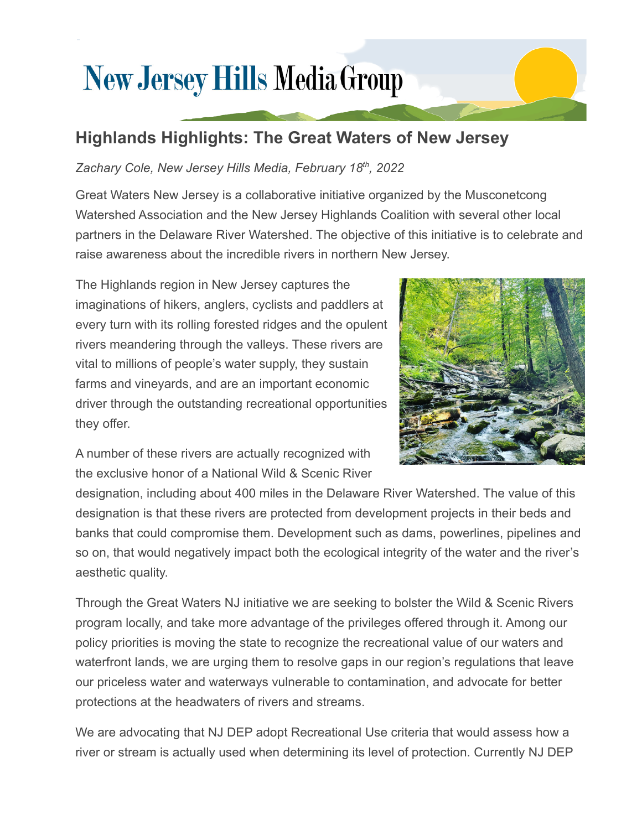## **New Jersey Hills Media Group**

## **Highlands Highlights: The Great Waters of New Jersey**

## *Zachary Cole, New Jersey Hills Media, February 18th , 2022*

Great Waters New Jersey is a collaborative initiative organized by the Musconetcong Watershed Association and the New Jersey Highlands Coalition with several other local partners in the Delaware River Watershed. The objective of this initiative is to celebrate and raise awareness about the incredible rivers in northern New Jersey.

The Highlands region in New Jersey captures the imaginations of hikers, anglers, cyclists and paddlers at every turn with its rolling forested ridges and the opulent rivers meandering through the valleys. These rivers are vital to millions of people's water supply, they sustain farms and vineyards, and are an important economic driver through the outstanding recreational opportunities they offer.



A number of these rivers are actually recognized with the exclusive honor of a National Wild & Scenic River

designation, including about 400 miles in the Delaware River Watershed. The value of this designation is that these rivers are protected from development projects in their beds and banks that could compromise them. Development such as dams, powerlines, pipelines and so on, that would negatively impact both the ecological integrity of the water and the river's aesthetic quality.

Through the Great Waters NJ initiative we are seeking to bolster the Wild & Scenic Rivers program locally, and take more advantage of the privileges offered through it. Among our policy priorities is moving the state to recognize the recreational value of our waters and waterfront lands, we are urging them to resolve gaps in our region's regulations that leave our priceless water and waterways vulnerable to contamination, and advocate for better protections at the headwaters of rivers and streams.

We are advocating that NJ DEP adopt Recreational Use criteria that would assess how a river or stream is actually used when determining its level of protection. Currently NJ DEP